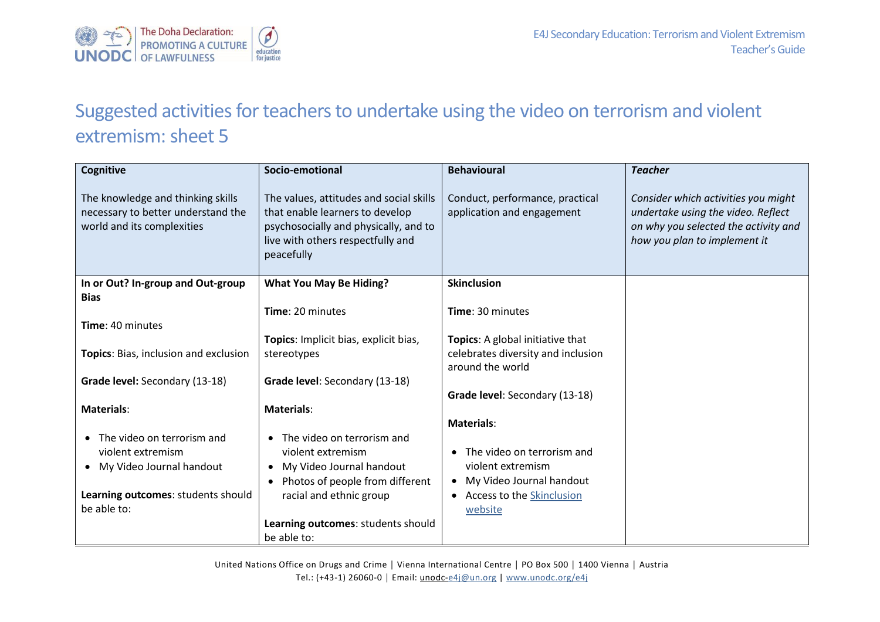

## Suggested activities for teachers to undertake using the video on terrorism and violent extremism: sheet 5

| Cognitive                                                                                             | Socio-emotional                                                                                                                                                        | <b>Behavioural</b>                                            | <b>Teacher</b>                                                                                                                                    |
|-------------------------------------------------------------------------------------------------------|------------------------------------------------------------------------------------------------------------------------------------------------------------------------|---------------------------------------------------------------|---------------------------------------------------------------------------------------------------------------------------------------------------|
| The knowledge and thinking skills<br>necessary to better understand the<br>world and its complexities | The values, attitudes and social skills<br>that enable learners to develop<br>psychosocially and physically, and to<br>live with others respectfully and<br>peacefully | Conduct, performance, practical<br>application and engagement | Consider which activities you might<br>undertake using the video. Reflect<br>on why you selected the activity and<br>how you plan to implement it |
| In or Out? In-group and Out-group<br><b>Bias</b>                                                      | <b>What You May Be Hiding?</b>                                                                                                                                         | <b>Skinclusion</b>                                            |                                                                                                                                                   |
|                                                                                                       | Time: 20 minutes                                                                                                                                                       | Time: 30 minutes                                              |                                                                                                                                                   |
| Time: 40 minutes                                                                                      |                                                                                                                                                                        |                                                               |                                                                                                                                                   |
|                                                                                                       | Topics: Implicit bias, explicit bias,                                                                                                                                  | Topics: A global initiative that                              |                                                                                                                                                   |
| Topics: Bias, inclusion and exclusion                                                                 | stereotypes                                                                                                                                                            | celebrates diversity and inclusion                            |                                                                                                                                                   |
|                                                                                                       |                                                                                                                                                                        | around the world                                              |                                                                                                                                                   |
| Grade level: Secondary (13-18)                                                                        | Grade level: Secondary (13-18)                                                                                                                                         |                                                               |                                                                                                                                                   |
|                                                                                                       |                                                                                                                                                                        | Grade level: Secondary (13-18)                                |                                                                                                                                                   |
| <b>Materials:</b>                                                                                     | <b>Materials:</b>                                                                                                                                                      |                                                               |                                                                                                                                                   |
|                                                                                                       |                                                                                                                                                                        | <b>Materials:</b>                                             |                                                                                                                                                   |
| The video on terrorism and                                                                            | The video on terrorism and                                                                                                                                             |                                                               |                                                                                                                                                   |
| violent extremism                                                                                     | violent extremism                                                                                                                                                      | The video on terrorism and                                    |                                                                                                                                                   |
| • My Video Journal handout                                                                            | My Video Journal handout                                                                                                                                               | violent extremism                                             |                                                                                                                                                   |
|                                                                                                       | Photos of people from different                                                                                                                                        | My Video Journal handout<br>$\bullet$                         |                                                                                                                                                   |
| Learning outcomes: students should                                                                    | racial and ethnic group                                                                                                                                                | <b>Access to the Skinclusion</b><br>$\bullet$                 |                                                                                                                                                   |
| be able to:                                                                                           |                                                                                                                                                                        | website                                                       |                                                                                                                                                   |
|                                                                                                       | Learning outcomes: students should                                                                                                                                     |                                                               |                                                                                                                                                   |
|                                                                                                       | be able to:                                                                                                                                                            |                                                               |                                                                                                                                                   |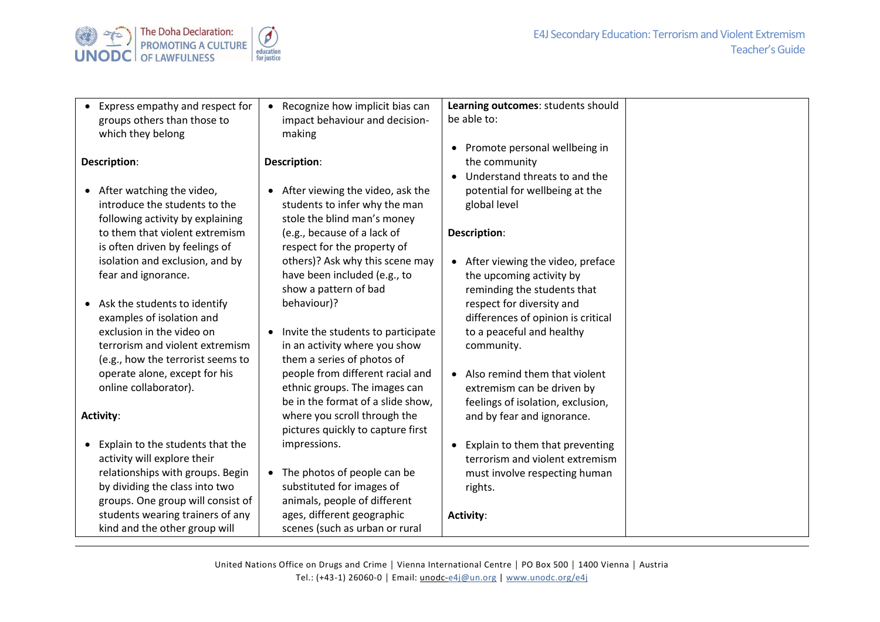

| • Express empathy and respect for<br>groups others than those to                                        | • Recognize how implicit bias can<br>impact behaviour and decision-                                    | Learning outcomes: students should<br>be able to:                                                        |  |
|---------------------------------------------------------------------------------------------------------|--------------------------------------------------------------------------------------------------------|----------------------------------------------------------------------------------------------------------|--|
| which they belong<br>Description:                                                                       | making<br>Description:                                                                                 | Promote personal wellbeing in<br>$\bullet$<br>the community                                              |  |
|                                                                                                         |                                                                                                        | Understand threats to and the<br>$\bullet$                                                               |  |
| • After watching the video,<br>introduce the students to the<br>following activity by explaining        | After viewing the video, ask the<br>students to infer why the man<br>stole the blind man's money       | potential for wellbeing at the<br>global level                                                           |  |
| to them that violent extremism<br>is often driven by feelings of                                        | (e.g., because of a lack of<br>respect for the property of                                             | <b>Description:</b>                                                                                      |  |
| isolation and exclusion, and by<br>fear and ignorance.                                                  | others)? Ask why this scene may<br>have been included (e.g., to<br>show a pattern of bad               | After viewing the video, preface<br>$\bullet$<br>the upcoming activity by<br>reminding the students that |  |
| • Ask the students to identify<br>examples of isolation and                                             | behaviour)?                                                                                            | respect for diversity and<br>differences of opinion is critical                                          |  |
| exclusion in the video on<br>terrorism and violent extremism<br>(e.g., how the terrorist seems to       | Invite the students to participate<br>in an activity where you show<br>them a series of photos of      | to a peaceful and healthy<br>community.                                                                  |  |
| operate alone, except for his<br>online collaborator).                                                  | people from different racial and<br>ethnic groups. The images can<br>be in the format of a slide show, | • Also remind them that violent<br>extremism can be driven by<br>feelings of isolation, exclusion,       |  |
| <b>Activity:</b>                                                                                        | where you scroll through the<br>pictures quickly to capture first                                      | and by fear and ignorance.                                                                               |  |
| Explain to the students that the<br>$\bullet$<br>activity will explore their                            | impressions.                                                                                           | Explain to them that preventing<br>$\bullet$<br>terrorism and violent extremism                          |  |
| relationships with groups. Begin<br>by dividing the class into two<br>groups. One group will consist of | The photos of people can be<br>$\bullet$<br>substituted for images of<br>animals, people of different  | must involve respecting human<br>rights.                                                                 |  |
| students wearing trainers of any<br>kind and the other group will                                       | ages, different geographic<br>scenes (such as urban or rural                                           | <b>Activity:</b>                                                                                         |  |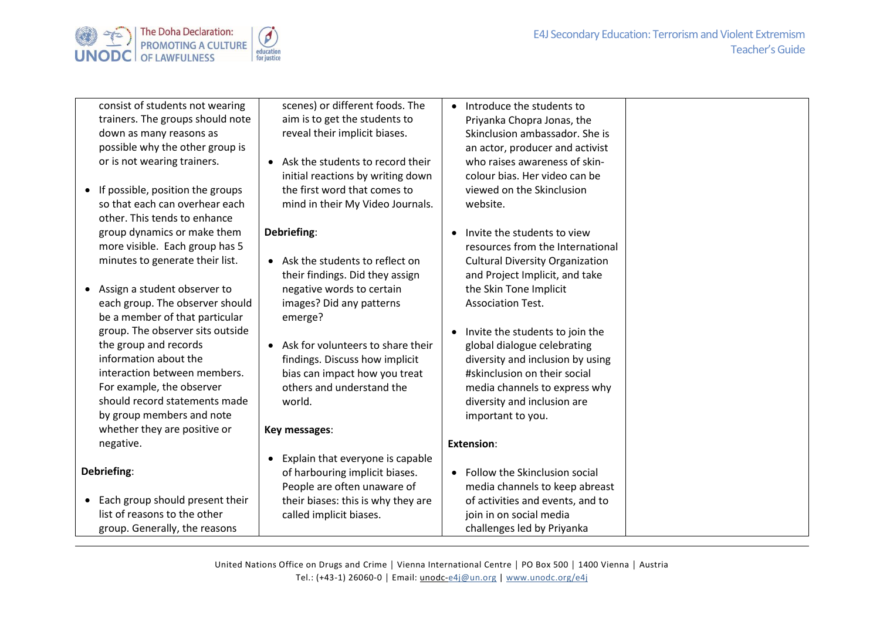



consist of students not wearing trainers. The groups should note down as many reasons as possible why the other group is or is not wearing trainers.

- If possible, position the groups so that each can overhear each other. This tends to enhance group dynamics or make them more visible. Each group has 5 minutes to generate their list.
- Assign a student observer to each group. The observer should be a member of that particular group. The observer sits outside the group and records information about the interaction between members. For example, the observer should record statements made by group members and note whether they are positive or negative.

**Debriefing**:

• Each group should present their list of reasons to the other group. Generally, the reasons

scenes) or different foods. The aim is to get the students to reveal their implicit biases.

• Ask the students to record their initial reactions by writing down the first word that comes to mind in their My Video Journals.

## **Debriefing**:

- Ask the students to reflect on their findings. Did they assign negative words to certain images? Did any patterns emerge?
- Ask for volunteers to share their findings. Discuss how implicit bias can impact how you treat others and understand the world.

## **Key messages**:

• Explain that everyone is capable of harbouring implicit biases. People are often unaware of their biases: this is why they are called implicit biases.

- Introduce the students to Priyanka Chopra Jonas, the Skinclusion ambassador. She is an actor, producer and activist who raises awareness of skincolour bias. Her video can be viewed on the Skinclusion website.
- Invite the students to view resources from the International Cultural Diversity Organization and Project Implicit, and take the Skin Tone Implicit Association Test.
- Invite the students to join the global dialogue celebrating diversity and inclusion by using #skinclusion on their social media channels to express why diversity and inclusion are important to you.

## **Extension**:

- Follow the Skinclusion social media channels to keep abreast of activities and events, and to join in on social media challenges led by Priyanka
- United Nations Office on Drugs and Crime │ Vienna International Centre │ PO Box 500 │ 1400 Vienna │ Austria Tel.: (+43-1) 26060-0 **│** Email: unodc[-e4j@un.org](mailto:e4j@un.org) | [www.unodc.org/e4j](http://www.unodc.org/e4j)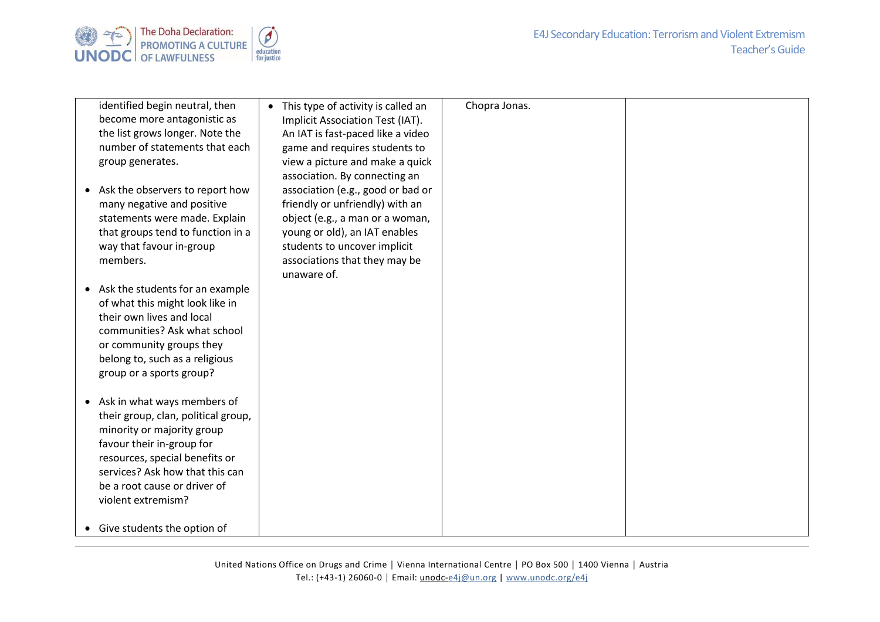

| identified begin neutral, then      | This type of activity is called an<br>$\bullet$ | Chopra Jonas. |  |
|-------------------------------------|-------------------------------------------------|---------------|--|
| become more antagonistic as         | Implicit Association Test (IAT).                |               |  |
| the list grows longer. Note the     | An IAT is fast-paced like a video               |               |  |
| number of statements that each      | game and requires students to                   |               |  |
| group generates.                    | view a picture and make a quick                 |               |  |
|                                     | association. By connecting an                   |               |  |
| • Ask the observers to report how   | association (e.g., good or bad or               |               |  |
| many negative and positive          | friendly or unfriendly) with an                 |               |  |
| statements were made. Explain       | object (e.g., a man or a woman,                 |               |  |
| that groups tend to function in a   | young or old), an IAT enables                   |               |  |
| way that favour in-group            | students to uncover implicit                    |               |  |
| members.                            | associations that they may be                   |               |  |
|                                     | unaware of.                                     |               |  |
| • Ask the students for an example   |                                                 |               |  |
| of what this might look like in     |                                                 |               |  |
| their own lives and local           |                                                 |               |  |
| communities? Ask what school        |                                                 |               |  |
| or community groups they            |                                                 |               |  |
| belong to, such as a religious      |                                                 |               |  |
| group or a sports group?            |                                                 |               |  |
|                                     |                                                 |               |  |
| • Ask in what ways members of       |                                                 |               |  |
| their group, clan, political group, |                                                 |               |  |
| minority or majority group          |                                                 |               |  |
| favour their in-group for           |                                                 |               |  |
| resources, special benefits or      |                                                 |               |  |
| services? Ask how that this can     |                                                 |               |  |
| be a root cause or driver of        |                                                 |               |  |
| violent extremism?                  |                                                 |               |  |
|                                     |                                                 |               |  |
| • Give students the option of       |                                                 |               |  |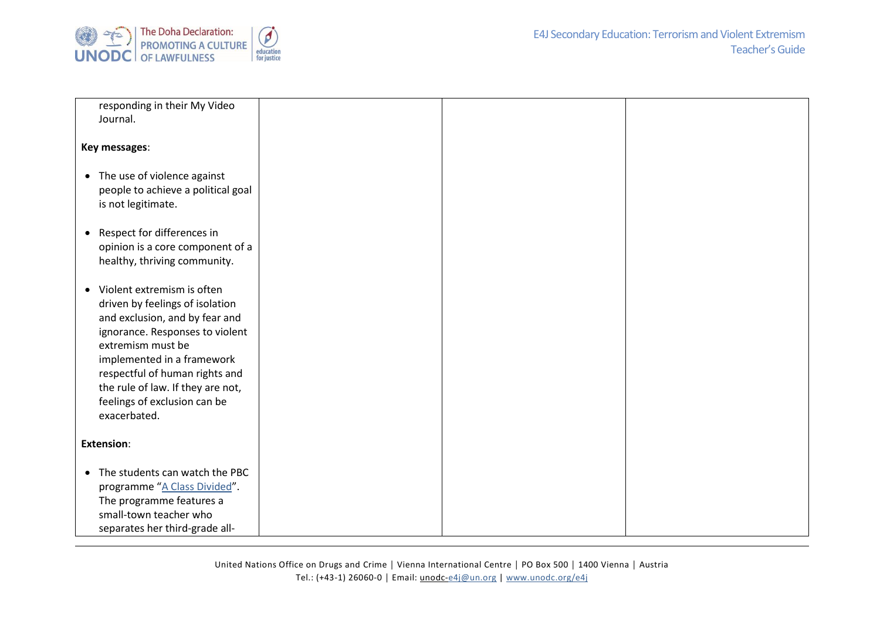

| responding in their My Video                                 |  |  |
|--------------------------------------------------------------|--|--|
| Journal.                                                     |  |  |
|                                                              |  |  |
| Key messages:                                                |  |  |
|                                                              |  |  |
| • The use of violence against                                |  |  |
| people to achieve a political goal                           |  |  |
| is not legitimate.                                           |  |  |
|                                                              |  |  |
| Respect for differences in<br>$\bullet$                      |  |  |
| opinion is a core component of a                             |  |  |
| healthy, thriving community.                                 |  |  |
|                                                              |  |  |
| • Violent extremism is often                                 |  |  |
| driven by feelings of isolation                              |  |  |
| and exclusion, and by fear and                               |  |  |
| ignorance. Responses to violent<br>extremism must be         |  |  |
|                                                              |  |  |
| implemented in a framework<br>respectful of human rights and |  |  |
| the rule of law. If they are not,                            |  |  |
| feelings of exclusion can be                                 |  |  |
| exacerbated.                                                 |  |  |
|                                                              |  |  |
| <b>Extension:</b>                                            |  |  |
|                                                              |  |  |
| • The students can watch the PBC                             |  |  |
| programme "A Class Divided".                                 |  |  |
| The programme features a                                     |  |  |
| small-town teacher who                                       |  |  |
| separates her third-grade all-                               |  |  |